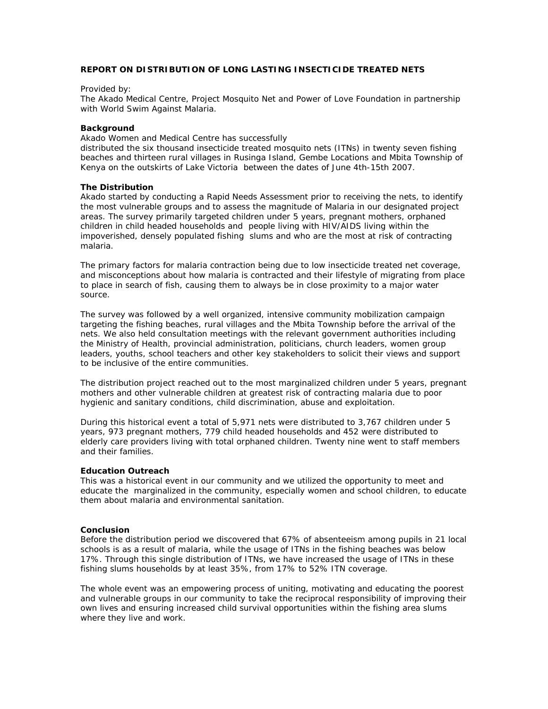# **REPORT ON DISTRIBUTION OF LONG LASTING INSECTICIDE TREATED NETS**

# Provided by:

The Akado Medical Centre, Project Mosquito Net and Power of Love Foundation in partnership with World Swim Against Malaria.

#### **Background**

Akado Women and Medical Centre has successfully

distributed the six thousand insecticide treated mosquito nets (ITNs) in twenty seven fishing beaches and thirteen rural villages in Rusinga Island, Gembe Locations and Mbita Township of Kenya on the outskirts of Lake Victoria between the dates of June 4th-15th 2007.

#### **The Distribution**

Akado started by conducting a Rapid Needs Assessment prior to receiving the nets, to identify the most vulnerable groups and to assess the magnitude of Malaria in our designated project areas. The survey primarily targeted children under 5 years, pregnant mothers, orphaned children in child headed households and people living with HIV/AIDS living within the impoverished, densely populated fishing slums and who are the most at risk of contracting malaria.

The primary factors for malaria contraction being due to low insecticide treated net coverage, and misconceptions about how malaria is contracted and their lifestyle of migrating from place to place in search of fish, causing them to always be in close proximity to a major water source.

The survey was followed by a well organized, intensive community mobilization campaign targeting the fishing beaches, rural villages and the Mbita Township before the arrival of the nets. We also held consultation meetings with the relevant government authorities including the Ministry of Health, provincial administration, politicians, church leaders, women group leaders, youths, school teachers and other key stakeholders to solicit their views and support to be inclusive of the entire communities.

The distribution project reached out to the most marginalized children under 5 years, pregnant mothers and other vulnerable children at greatest risk of contracting malaria due to poor hygienic and sanitary conditions, child discrimination, abuse and exploitation.

During this historical event a total of 5,971 nets were distributed to 3,767 children under 5 years, 973 pregnant mothers, 779 child headed households and 452 were distributed to elderly care providers living with total orphaned children. Twenty nine went to staff members and their families.

# **Education Outreach**

This was a historical event in our community and we utilized the opportunity to meet and educate the marginalized in the community, especially women and school children, to educate them about malaria and environmental sanitation.

# **Conclusion**

Before the distribution period we discovered that 67% of absenteeism among pupils in 21 local schools is as a result of malaria, while the usage of ITNs in the fishing beaches was below 17%. Through this single distribution of ITNs, we have increased the usage of ITNs in these fishing slums households by at least 35%, from 17% to 52% ITN coverage.

The whole event was an empowering process of uniting, motivating and educating the poorest and vulnerable groups in our community to take the reciprocal responsibility of improving their own lives and ensuring increased child survival opportunities within the fishing area slums where they live and work.